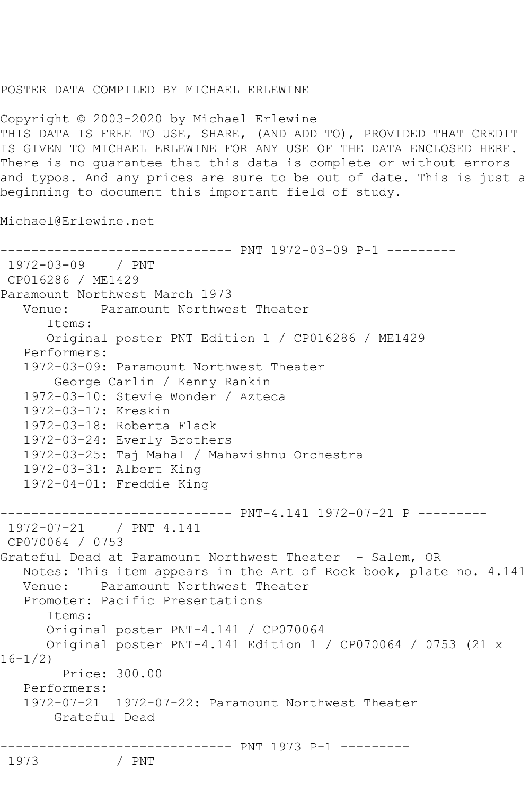## POSTER DATA COMPILED BY MICHAEL ERLEWINE

Copyright © 2003-2020 by Michael Erlewine THIS DATA IS FREE TO USE, SHARE, (AND ADD TO), PROVIDED THAT CREDIT IS GIVEN TO MICHAEL ERLEWINE FOR ANY USE OF THE DATA ENCLOSED HERE. There is no guarantee that this data is complete or without errors and typos. And any prices are sure to be out of date. This is just a beginning to document this important field of study.

Michael@Erlewine.net

```
------------------------------ PNT 1972-03-09 P-1 ---------
1972-03-09 / PNT 
CP016286 / ME1429
Paramount Northwest March 1973
   Venue: Paramount Northwest Theater
       Items:
       Original poster PNT Edition 1 / CP016286 / ME1429
    Performers:
    1972-03-09: Paramount Northwest Theater
        George Carlin / Kenny Rankin
    1972-03-10: Stevie Wonder / Azteca
   1972-03-17: Kreskin
   1972-03-18: Roberta Flack
   1972-03-24: Everly Brothers
    1972-03-25: Taj Mahal / Mahavishnu Orchestra
    1972-03-31: Albert King
    1972-04-01: Freddie King
------------------------------ PNT-4.141 1972-07-21 P ---------
1972-07-21 / PNT 4.141
CP070064 / 0753
Grateful Dead at Paramount Northwest Theater - Salem, OR
   Notes: This item appears in the Art of Rock book, plate no. 4.141
   Venue: Paramount Northwest Theater
    Promoter: Pacific Presentations
       Items:
       Original poster PNT-4.141 / CP070064
       Original poster PNT-4.141 Edition 1 / CP070064 / 0753 (21 x 
16 - 1/2 Price: 300.00
    Performers:
    1972-07-21 1972-07-22: Paramount Northwest Theater
        Grateful Dead
------------------------------- PNT 1973 P-1 ----------<br>1973                 / PNT
```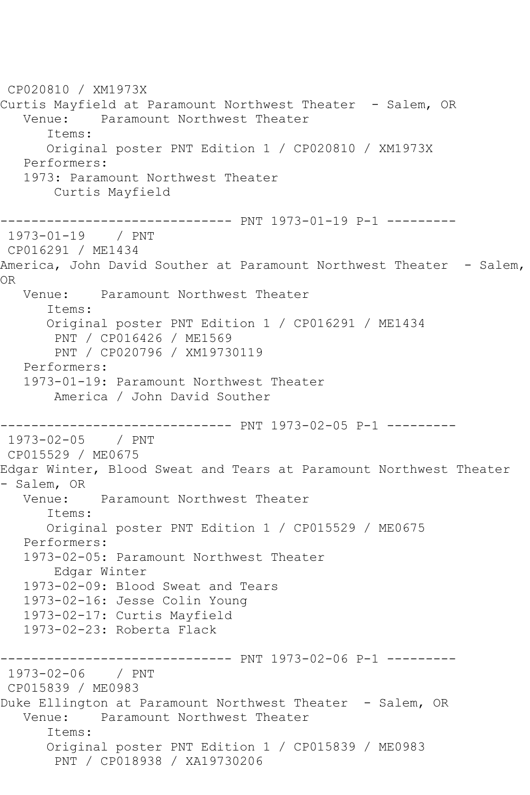CP020810 / XM1973X Curtis Mayfield at Paramount Northwest Theater - Salem, OR<br>Venue: Paramount Northwest Theater Paramount Northwest Theater Items: Original poster PNT Edition 1 / CP020810 / XM1973X Performers: 1973: Paramount Northwest Theater Curtis Mayfield ------------------------------ PNT 1973-01-19 P-1 --------- 1973-01-19 / PNT CP016291 / ME1434 America, John David Souther at Paramount Northwest Theater - Salem, OR Venue: Paramount Northwest Theater Items: Original poster PNT Edition 1 / CP016291 / ME1434 PNT / CP016426 / ME1569 PNT / CP020796 / XM19730119 Performers: 1973-01-19: Paramount Northwest Theater America / John David Souther ------------------------------ PNT 1973-02-05 P-1 --------- 1973-02-05 / PNT CP015529 / ME0675 Edgar Winter, Blood Sweat and Tears at Paramount Northwest Theater - Salem, OR Venue: Paramount Northwest Theater Items: Original poster PNT Edition 1 / CP015529 / ME0675 Performers: 1973-02-05: Paramount Northwest Theater Edgar Winter 1973-02-09: Blood Sweat and Tears 1973-02-16: Jesse Colin Young 1973-02-17: Curtis Mayfield 1973-02-23: Roberta Flack ------------------------------ PNT 1973-02-06 P-1 --------- 1973-02-06 / PNT CP015839 / ME0983 Duke Ellington at Paramount Northwest Theater - Salem, OR Venue: Paramount Northwest Theater Items: Original poster PNT Edition 1 / CP015839 / ME0983 PNT / CP018938 / XA19730206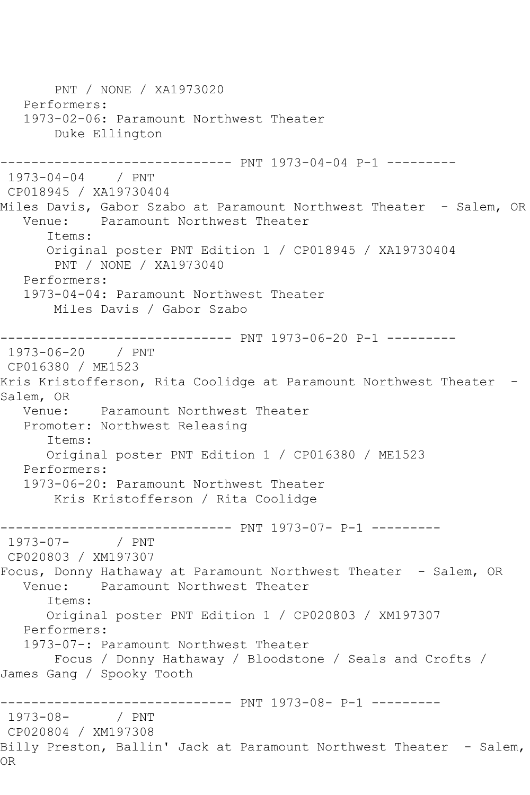PNT / NONE / XA1973020 Performers: 1973-02-06: Paramount Northwest Theater Duke Ellington ------------------------------ PNT 1973-04-04 P-1 --------- 1973-04-04 / PNT CP018945 / XA19730404 Miles Davis, Gabor Szabo at Paramount Northwest Theater - Salem, OR Venue: Paramount Northwest Theater Items: Original poster PNT Edition 1 / CP018945 / XA19730404 PNT / NONE / XA1973040 Performers: 1973-04-04: Paramount Northwest Theater Miles Davis / Gabor Szabo ------------------------------ PNT 1973-06-20 P-1 --------- 1973-06-20 / PNT CP016380 / ME1523 Kris Kristofferson, Rita Coolidge at Paramount Northwest Theater -Salem, OR Venue: Paramount Northwest Theater Promoter: Northwest Releasing Items: Original poster PNT Edition 1 / CP016380 / ME1523 Performers: 1973-06-20: Paramount Northwest Theater Kris Kristofferson / Rita Coolidge ------------------------------ PNT 1973-07- P-1 ---------  $1973 - 07 -$ CP020803 / XM197307 Focus, Donny Hathaway at Paramount Northwest Theater - Salem, OR<br>Venue: Paramount Northwest Theater Paramount Northwest Theater Items: Original poster PNT Edition 1 / CP020803 / XM197307 Performers: 1973-07-: Paramount Northwest Theater Focus / Donny Hathaway / Bloodstone / Seals and Crofts / James Gang / Spooky Tooth ------------------------------- PNT 1973-08- P-1 ----------<br>1973-08- / PNT  $1973 - 08 -$ CP020804 / XM197308 Billy Preston, Ballin' Jack at Paramount Northwest Theater - Salem, OR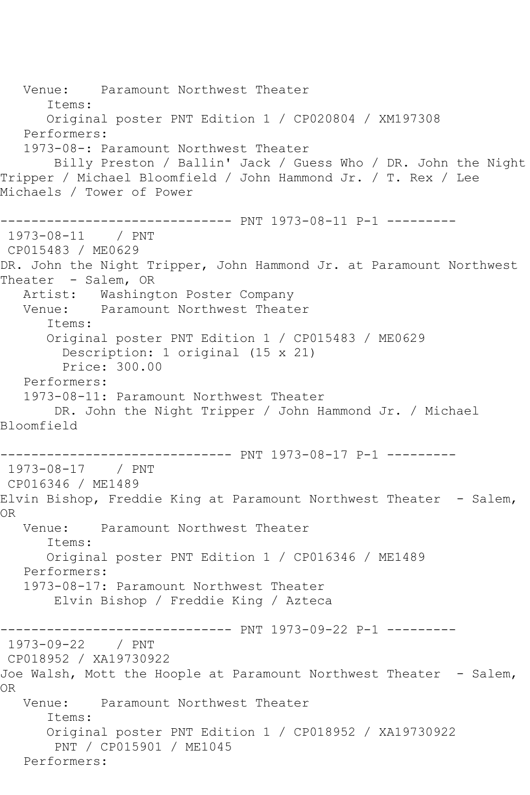Venue: Paramount Northwest Theater Items: Original poster PNT Edition 1 / CP020804 / XM197308 Performers: 1973-08-: Paramount Northwest Theater Billy Preston / Ballin' Jack / Guess Who / DR. John the Night Tripper / Michael Bloomfield / John Hammond Jr. / T. Rex / Lee Michaels / Tower of Power ------------------------------ PNT 1973-08-11 P-1 --------- 1973-08-11 / PNT CP015483 / ME0629 DR. John the Night Tripper, John Hammond Jr. at Paramount Northwest Theater - Salem, OR Artist: Washington Poster Company Venue: Paramount Northwest Theater Items: Original poster PNT Edition 1 / CP015483 / ME0629 Description: 1 original (15 x 21) Price: 300.00 Performers: 1973-08-11: Paramount Northwest Theater DR. John the Night Tripper / John Hammond Jr. / Michael Bloomfield ------------------------------ PNT 1973-08-17 P-1 --------- 1973-08-17 / PNT CP016346 / ME1489 Elvin Bishop, Freddie King at Paramount Northwest Theater - Salem, OR Venue: Paramount Northwest Theater Items: Original poster PNT Edition 1 / CP016346 / ME1489 Performers: 1973-08-17: Paramount Northwest Theater Elvin Bishop / Freddie King / Azteca ------------------------------ PNT 1973-09-22 P-1 --------- 1973-09-22 / PNT CP018952 / XA19730922 Joe Walsh, Mott the Hoople at Paramount Northwest Theater - Salem, OR Venue: Paramount Northwest Theater Items: Original poster PNT Edition 1 / CP018952 / XA19730922 PNT / CP015901 / ME1045 Performers: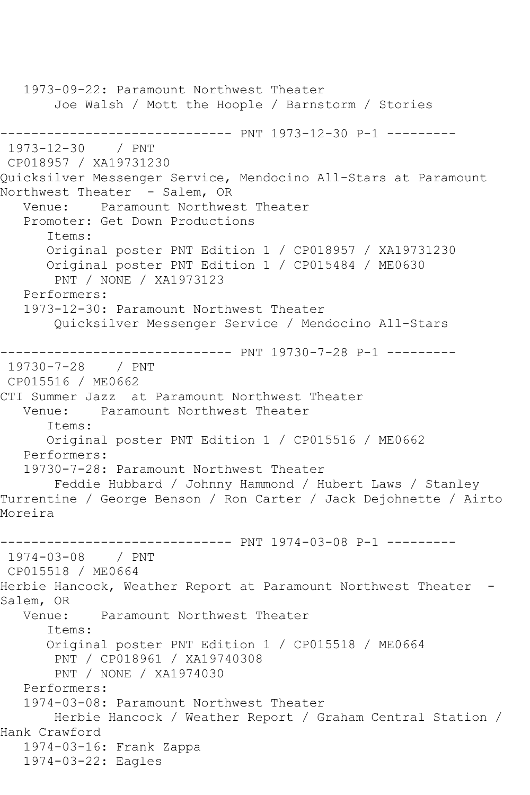1973-09-22: Paramount Northwest Theater Joe Walsh / Mott the Hoople / Barnstorm / Stories ------------------------------ PNT 1973-12-30 P-1 ---------  $1973 - 12 - 30$ CP018957 / XA19731230 Quicksilver Messenger Service, Mendocino All-Stars at Paramount Northwest Theater - Salem, OR Venue: Paramount Northwest Theater Promoter: Get Down Productions Items: Original poster PNT Edition 1 / CP018957 / XA19731230 Original poster PNT Edition 1 / CP015484 / ME0630 PNT / NONE / XA1973123 Performers: 1973-12-30: Paramount Northwest Theater Quicksilver Messenger Service / Mendocino All-Stars ------------------------------ PNT 19730-7-28 P-1 --------- 19730-7-28 / PNT CP015516 / ME0662 CTI Summer Jazz at Paramount Northwest Theater Venue: Paramount Northwest Theater Items: Original poster PNT Edition 1 / CP015516 / ME0662 Performers: 19730-7-28: Paramount Northwest Theater Feddie Hubbard / Johnny Hammond / Hubert Laws / Stanley Turrentine / George Benson / Ron Carter / Jack Dejohnette / Airto Moreira ------------------------------ PNT 1974-03-08 P-1 --------- 1974-03-08 / PNT CP015518 / ME0664 Herbie Hancock, Weather Report at Paramount Northwest Theater - Salem, OR<br>:Venue Paramount Northwest Theater Items: Original poster PNT Edition 1 / CP015518 / ME0664 PNT / CP018961 / XA19740308 PNT / NONE / XA1974030 Performers: 1974-03-08: Paramount Northwest Theater Herbie Hancock / Weather Report / Graham Central Station / Hank Crawford 1974-03-16: Frank Zappa 1974-03-22: Eagles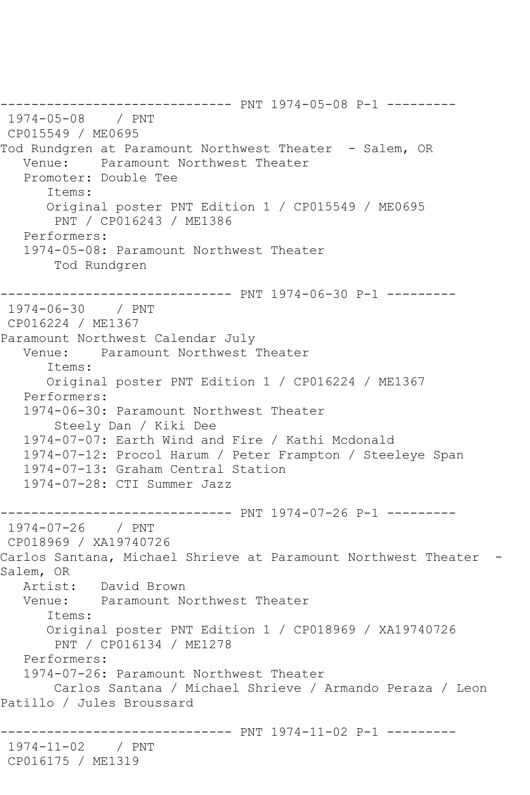------------------------------ PNT 1974-05-08 P-1 --------- 1974-05-08 / PNT CP015549 / ME0695 Tod Rundgren at Paramount Northwest Theater - Salem, OR Venue: Paramount Northwest Theater Promoter: Double Tee Items: Original poster PNT Edition 1 / CP015549 / ME0695 PNT / CP016243 / ME1386 Performers: 1974-05-08: Paramount Northwest Theater Tod Rundgren ------------------------------ PNT 1974-06-30 P-1 --------- 1974-06-30 / PNT CP016224 / ME1367 Paramount Northwest Calendar July Venue: Paramount Northwest Theater Items: Original poster PNT Edition 1 / CP016224 / ME1367 Performers: 1974-06-30: Paramount Northwest Theater Steely Dan / Kiki Dee 1974-07-07: Earth Wind and Fire / Kathi Mcdonald 1974-07-12: Procol Harum / Peter Frampton / Steeleye Span 1974-07-13: Graham Central Station 1974-07-28: CTI Summer Jazz ------------------------------ PNT 1974-07-26 P-1 --------- 1974-07-26 / PNT CP018969 / XA19740726 Carlos Santana, Michael Shrieve at Paramount Northwest Theater - Salem, OR Artist: David Brown Venue: Paramount Northwest Theater Items: Original poster PNT Edition 1 / CP018969 / XA19740726 PNT / CP016134 / ME1278 Performers: 1974-07-26: Paramount Northwest Theater Carlos Santana / Michael Shrieve / Armando Peraza / Leon Patillo / Jules Broussard ---------------------- PNT 1974-11-02 P-1 ---------1974-11-02 / PNT CP016175 / ME1319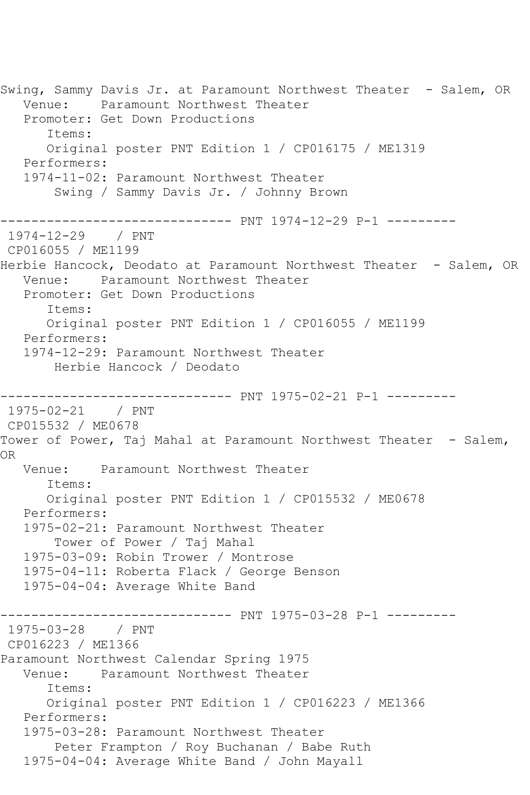Swing, Sammy Davis Jr. at Paramount Northwest Theater - Salem, OR Venue: Paramount Northwest Theater Promoter: Get Down Productions Items: Original poster PNT Edition 1 / CP016175 / ME1319 Performers: 1974-11-02: Paramount Northwest Theater Swing / Sammy Davis Jr. / Johnny Brown ------------------------------ PNT 1974-12-29 P-1 --------- 1974-12-29 / PNT CP016055 / ME1199 Herbie Hancock, Deodato at Paramount Northwest Theater - Salem, OR Venue: Paramount Northwest Theater Promoter: Get Down Productions Items: Original poster PNT Edition 1 / CP016055 / ME1199 Performers: 1974-12-29: Paramount Northwest Theater Herbie Hancock / Deodato ------------------------------ PNT 1975-02-21 P-1 --------- 1975-02-21 / PNT CP015532 / ME0678 Tower of Power, Taj Mahal at Paramount Northwest Theater - Salem, OR Venue: Paramount Northwest Theater Items: Original poster PNT Edition 1 / CP015532 / ME0678 Performers: 1975-02-21: Paramount Northwest Theater Tower of Power / Taj Mahal 1975-03-09: Robin Trower / Montrose 1975-04-11: Roberta Flack / George Benson 1975-04-04: Average White Band ------------------------------ PNT 1975-03-28 P-1 --------- 1975-03-28 / PNT CP016223 / ME1366 Paramount Northwest Calendar Spring 1975 Venue: Paramount Northwest Theater Items: Original poster PNT Edition 1 / CP016223 / ME1366 Performers: 1975-03-28: Paramount Northwest Theater Peter Frampton / Roy Buchanan / Babe Ruth 1975-04-04: Average White Band / John Mayall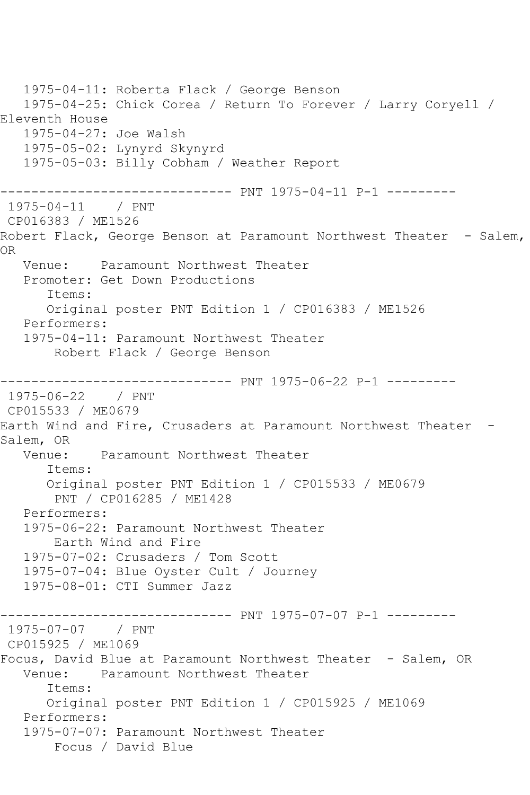1975-04-11: Roberta Flack / George Benson 1975-04-25: Chick Corea / Return To Forever / Larry Coryell / Eleventh House 1975-04-27: Joe Walsh 1975-05-02: Lynyrd Skynyrd 1975-05-03: Billy Cobham / Weather Report ------------------------------ PNT 1975-04-11 P-1 --------- 1975-04-11 / PNT CP016383 / ME1526 Robert Flack, George Benson at Paramount Northwest Theater - Salem, OR Venue: Paramount Northwest Theater Promoter: Get Down Productions Items: Original poster PNT Edition 1 / CP016383 / ME1526 Performers: 1975-04-11: Paramount Northwest Theater Robert Flack / George Benson ------------------------------ PNT 1975-06-22 P-1 --------- 1975-06-22 / PNT CP015533 / ME0679 Earth Wind and Fire, Crusaders at Paramount Northwest Theater - Salem, OR Venue: Paramount Northwest Theater Items: Original poster PNT Edition 1 / CP015533 / ME0679 PNT / CP016285 / ME1428 Performers: 1975-06-22: Paramount Northwest Theater Earth Wind and Fire 1975-07-02: Crusaders / Tom Scott 1975-07-04: Blue Oyster Cult / Journey 1975-08-01: CTI Summer Jazz ------------------------------ PNT 1975-07-07 P-1 --------- 1975-07-07 / PNT CP015925 / ME1069 Focus, David Blue at Paramount Northwest Theater - Salem, OR<br>Venue: Paramount Northwest Theater Paramount Northwest Theater Items: Original poster PNT Edition 1 / CP015925 / ME1069 Performers: 1975-07-07: Paramount Northwest Theater Focus / David Blue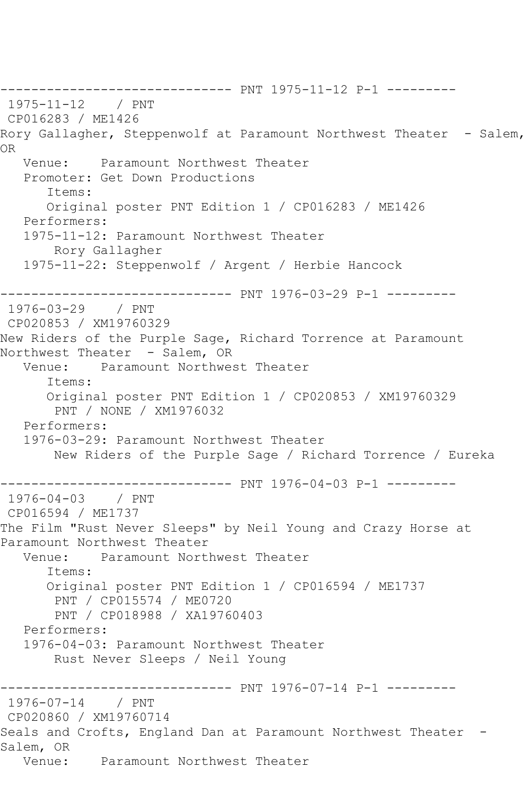------------------------------ PNT 1975-11-12 P-1 --------- 1975-11-12 / PNT CP016283 / ME1426 Rory Gallagher, Steppenwolf at Paramount Northwest Theater - Salem, OR Venue: Paramount Northwest Theater Promoter: Get Down Productions Items: Original poster PNT Edition 1 / CP016283 / ME1426 Performers: 1975-11-12: Paramount Northwest Theater Rory Gallagher 1975-11-22: Steppenwolf / Argent / Herbie Hancock ------------------------------ PNT 1976-03-29 P-1 --------- 1976-03-29 / PNT CP020853 / XM19760329 New Riders of the Purple Sage, Richard Torrence at Paramount Northwest Theater - Salem, OR<br>Venue: Paramount Northwes Paramount Northwest Theater Items: Original poster PNT Edition 1 / CP020853 / XM19760329 PNT / NONE / XM1976032 Performers: 1976-03-29: Paramount Northwest Theater New Riders of the Purple Sage / Richard Torrence / Eureka ---------------- PNT 1976-04-03 P-1 ----------<br>/ PNT  $1976 - 04 - 03$ CP016594 / ME1737 The Film "Rust Never Sleeps" by Neil Young and Crazy Horse at Paramount Northwest Theater<br>Venue: Paramount North Paramount Northwest Theater Items: Original poster PNT Edition 1 / CP016594 / ME1737 PNT / CP015574 / ME0720 PNT / CP018988 / XA19760403 Performers: 1976-04-03: Paramount Northwest Theater Rust Never Sleeps / Neil Young ------------------------------ PNT 1976-07-14 P-1 --------- 1976-07-14 / PNT CP020860 / XM19760714 Seals and Crofts, England Dan at Paramount Northwest Theater -Salem, OR Venue: Paramount Northwest Theater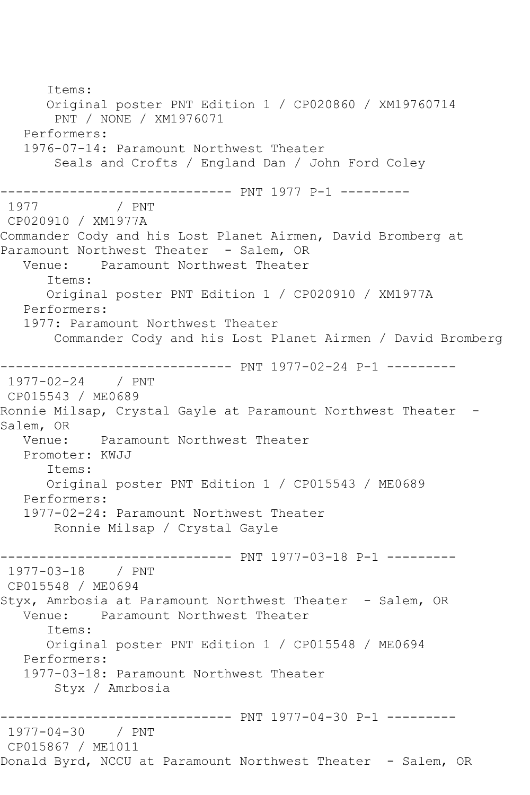Items: Original poster PNT Edition 1 / CP020860 / XM19760714 PNT / NONE / XM1976071 Performers: 1976-07-14: Paramount Northwest Theater Seals and Crofts / England Dan / John Ford Coley ------------------------------ PNT 1977 P-1 --------- 1977 CP020910 / XM1977A Commander Cody and his Lost Planet Airmen, David Bromberg at Paramount Northwest Theater - Salem, OR Venue: Paramount Northwest Theater Items: Original poster PNT Edition 1 / CP020910 / XM1977A Performers: 1977: Paramount Northwest Theater Commander Cody and his Lost Planet Airmen / David Bromberg ------------------------------ PNT 1977-02-24 P-1 ---------  $1977 - 02 - 24$ CP015543 / ME0689 Ronnie Milsap, Crystal Gayle at Paramount Northwest Theater -Salem, OR<br>:Venue Paramount Northwest Theater Promoter: KWJJ Items: Original poster PNT Edition 1 / CP015543 / ME0689 Performers: 1977-02-24: Paramount Northwest Theater Ronnie Milsap / Crystal Gayle ------------------------------ PNT 1977-03-18 P-1 --------- 1977-03-18 / PNT CP015548 / ME0694 Styx, Amrbosia at Paramount Northwest Theater - Salem, OR<br>Venue: Paramount Northwest Theater Paramount Northwest Theater Items: Original poster PNT Edition 1 / CP015548 / ME0694 Performers: 1977-03-18: Paramount Northwest Theater Styx / Amrbosia ------------------------------ PNT 1977-04-30 P-1 --------- 1977-04-30 / PNT CP015867 / ME1011 Donald Byrd, NCCU at Paramount Northwest Theater - Salem, OR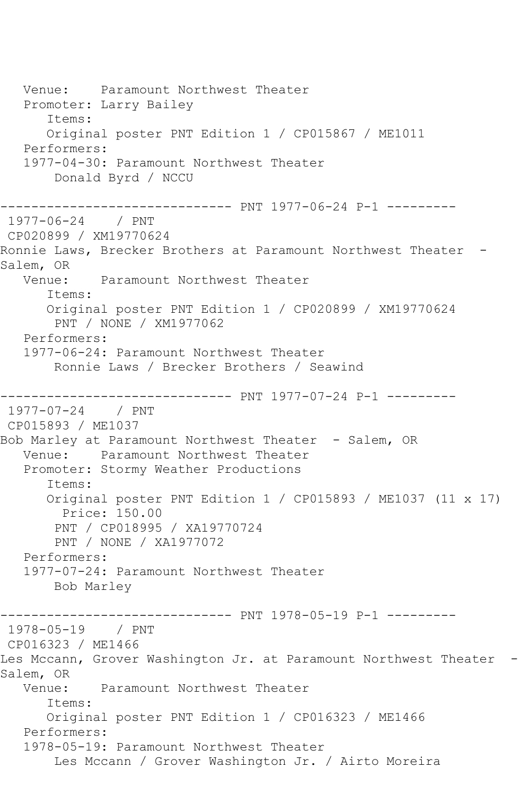Venue: Paramount Northwest Theater Promoter: Larry Bailey Items: Original poster PNT Edition 1 / CP015867 / ME1011 Performers: 1977-04-30: Paramount Northwest Theater Donald Byrd / NCCU ------------------------------ PNT 1977-06-24 P-1 --------- 1977-06-24 / PNT CP020899 / XM19770624 Ronnie Laws, Brecker Brothers at Paramount Northwest Theater -Salem, OR Venue: Paramount Northwest Theater Items: Original poster PNT Edition 1 / CP020899 / XM19770624 PNT / NONE / XM1977062 Performers: 1977-06-24: Paramount Northwest Theater Ronnie Laws / Brecker Brothers / Seawind ------------------------------ PNT 1977-07-24 P-1 --------- 1977-07-24 / PNT CP015893 / ME1037 Bob Marley at Paramount Northwest Theater - Salem, OR Venue: Paramount Northwest Theater Promoter: Stormy Weather Productions Items: Original poster PNT Edition 1 / CP015893 / ME1037 (11 x 17) Price: 150.00 PNT / CP018995 / XA19770724 PNT / NONE / XA1977072 Performers: 1977-07-24: Paramount Northwest Theater Bob Marley ------------------------------ PNT 1978-05-19 P-1 --------- 1978-05-19 / PNT CP016323 / ME1466 Les Mccann, Grover Washington Jr. at Paramount Northwest Theater -Salem, OR Venue: Paramount Northwest Theater Items: Original poster PNT Edition 1 / CP016323 / ME1466 Performers: 1978-05-19: Paramount Northwest Theater Les Mccann / Grover Washington Jr. / Airto Moreira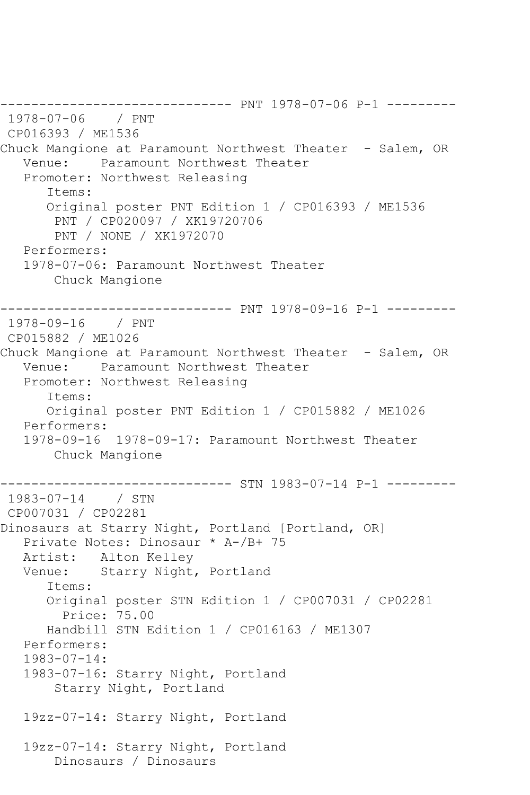------------------------------ PNT 1978-07-06 P-1 --------- 1978-07-06 / PNT CP016393 / ME1536 Chuck Mangione at Paramount Northwest Theater - Salem, OR Venue: Paramount Northwest Theater Promoter: Northwest Releasing Items: Original poster PNT Edition 1 / CP016393 / ME1536 PNT / CP020097 / XK19720706 PNT / NONE / XK1972070 Performers: 1978-07-06: Paramount Northwest Theater Chuck Mangione ------------------------------ PNT 1978-09-16 P-1 --------- 1978-09-16 / PNT CP015882 / ME1026 Chuck Mangione at Paramount Northwest Theater - Salem, OR Venue: Paramount Northwest Theater Promoter: Northwest Releasing Items: Original poster PNT Edition 1 / CP015882 / ME1026 Performers: 1978-09-16 1978-09-17: Paramount Northwest Theater Chuck Mangione ------------------------------ STN 1983-07-14 P-1 --------- 1983-07-14 / STN CP007031 / CP02281 Dinosaurs at Starry Night, Portland [Portland, OR] Private Notes: Dinosaur \* A-/B+ 75 Artist: Alton Kelley<br>Venue: Starry Night, Starry Night, Portland Items: Original poster STN Edition 1 / CP007031 / CP02281 Price: 75.00 Handbill STN Edition 1 / CP016163 / ME1307 Performers: 1983-07-14: 1983-07-16: Starry Night, Portland Starry Night, Portland 19zz-07-14: Starry Night, Portland 19zz-07-14: Starry Night, Portland Dinosaurs / Dinosaurs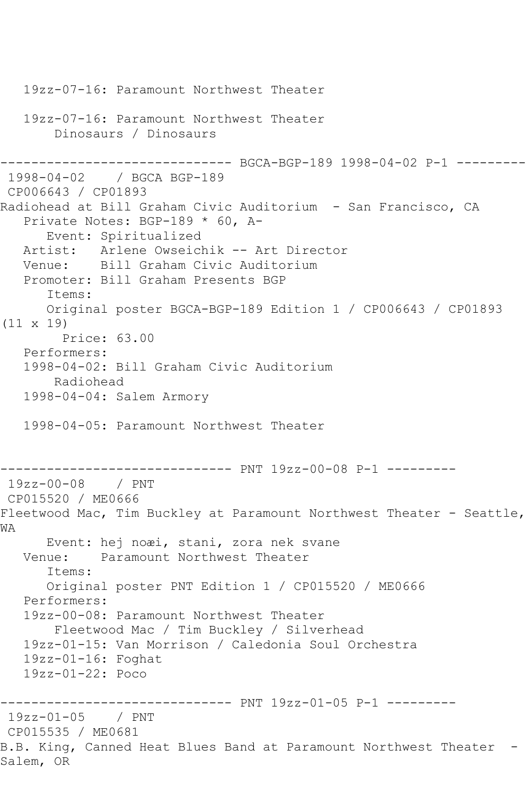```
 19zz-07-16: Paramount Northwest Theater
    19zz-07-16: Paramount Northwest Theater
        Dinosaurs / Dinosaurs
                  ------------ BGCA-BGP-189 1998-04-02 P-1 ---------
1998-04-02 / BGCA BGP-189
CP006643 / CP01893
Radiohead at Bill Graham Civic Auditorium - San Francisco, CA
   Private Notes: BGP-189 * 60, A-
       Event: Spiritualized
  Artist: Arlene Owseichik -- Art Director<br>Venue: Bill Graham Civic Auditorium
            Bill Graham Civic Auditorium
   Promoter: Bill Graham Presents BGP
       Items:
       Original poster BGCA-BGP-189 Edition 1 / CP006643 / CP01893 
(11 x 19)
        Price: 63.00
   Performers:
   1998-04-02: Bill Graham Civic Auditorium
        Radiohead
    1998-04-04: Salem Armory
   1998-04-05: Paramount Northwest Theater
------------------------------ PNT 19zz-00-08 P-1 ---------
19zz-00-08 / PNT 
CP015520 / ME0666
Fleetwood Mac, Tim Buckley at Paramount Northwest Theater - Seattle,
WA
       Event: hej noæi, stani, zora nek svane
   Venue: Paramount Northwest Theater
       Items:
       Original poster PNT Edition 1 / CP015520 / ME0666
    Performers:
    19zz-00-08: Paramount Northwest Theater
        Fleetwood Mac / Tim Buckley / Silverhead
   19zz-01-15: Van Morrison / Caledonia Soul Orchestra
    19zz-01-16: Foghat
    19zz-01-22: Poco
------------------------------ PNT 19zz-01-05 P-1 ---------
19zz-01-05 / PNT 
CP015535 / ME0681
B.B. King, Canned Heat Blues Band at Paramount Northwest Theater -
Salem, OR
```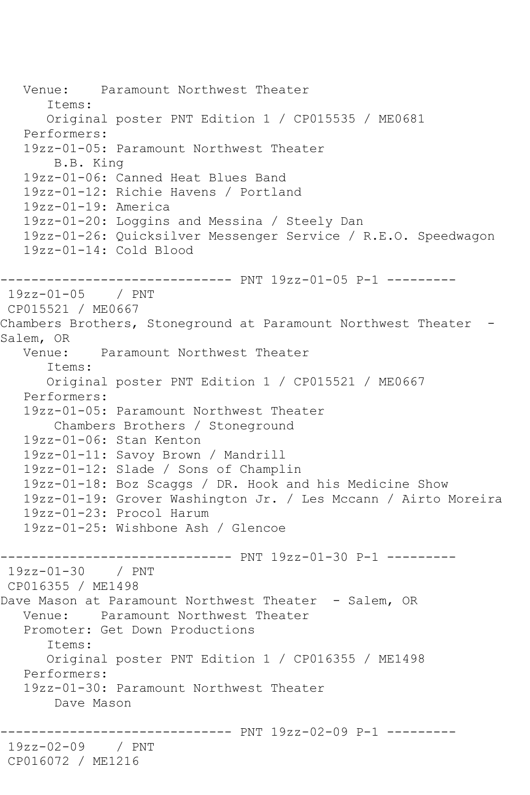```
 Venue: Paramount Northwest Theater
       Items:
       Original poster PNT Edition 1 / CP015535 / ME0681
   Performers:
   19zz-01-05: Paramount Northwest Theater
        B.B. King
   19zz-01-06: Canned Heat Blues Band
   19zz-01-12: Richie Havens / Portland
   19zz-01-19: America
   19zz-01-20: Loggins and Messina / Steely Dan
   19zz-01-26: Quicksilver Messenger Service / R.E.O. Speedwagon
   19zz-01-14: Cold Blood
------------------------------ PNT 19zz-01-05 P-1 ---------
19zz-01-05 / PNT 
CP015521 / ME0667
Chambers Brothers, Stoneground at Paramount Northwest Theater -
Salem, OR<br>:Venue
             Paramount Northwest Theater
       Items:
      Original poster PNT Edition 1 / CP015521 / ME0667
   Performers:
   19zz-01-05: Paramount Northwest Theater
       Chambers Brothers / Stoneground
   19zz-01-06: Stan Kenton
   19zz-01-11: Savoy Brown / Mandrill
   19zz-01-12: Slade / Sons of Champlin
   19zz-01-18: Boz Scaggs / DR. Hook and his Medicine Show
   19zz-01-19: Grover Washington Jr. / Les Mccann / Airto Moreira
   19zz-01-23: Procol Harum
   19zz-01-25: Wishbone Ash / Glencoe
------------------------------ PNT 19zz-01-30 P-1 ---------
19zz-01-30 / PNT 
CP016355 / ME1498
Dave Mason at Paramount Northwest Theater - Salem, OR
   Venue: Paramount Northwest Theater
   Promoter: Get Down Productions
       Items:
       Original poster PNT Edition 1 / CP016355 / ME1498
   Performers:
   19zz-01-30: Paramount Northwest Theater
        Dave Mason
  ------------------------------ PNT 19zz-02-09 P-1 ---------
19zz-02-09 / PNT 
CP016072 / ME1216
```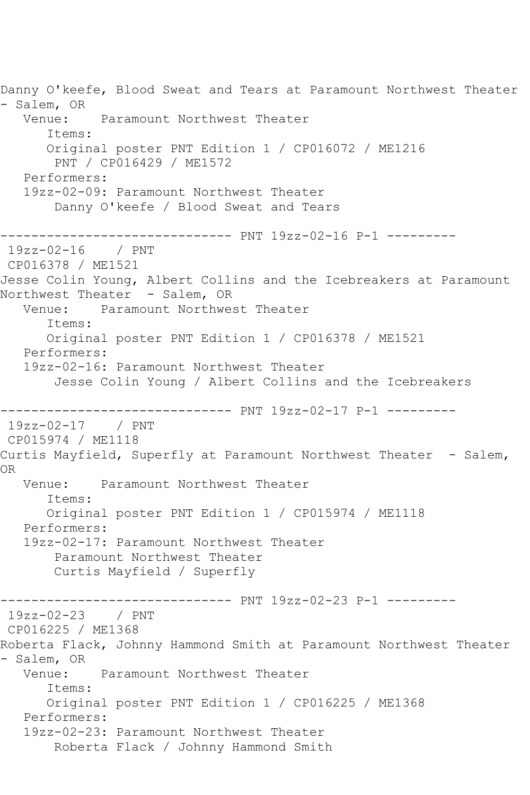Danny O'keefe, Blood Sweat and Tears at Paramount Northwest Theater - Salem, OR<br>Venue: Paramount Northwest Theater Items: Original poster PNT Edition 1 / CP016072 / ME1216 PNT / CP016429 / ME1572 Performers: 19zz-02-09: Paramount Northwest Theater Danny O'keefe / Blood Sweat and Tears ------------------------------ PNT 19zz-02-16 P-1 --------- 19zz-02-16 / PNT CP016378 / ME1521 Jesse Colin Young, Albert Collins and the Icebreakers at Paramount Northwest Theater - Salem, OR Venue: Paramount Northwest Theater Items: Original poster PNT Edition 1 / CP016378 / ME1521 Performers: 19zz-02-16: Paramount Northwest Theater Jesse Colin Young / Albert Collins and the Icebreakers ------------------------------ PNT 19zz-02-17 P-1 --------- 19zz-02-17 / PNT CP015974 / ME1118 Curtis Mayfield, Superfly at Paramount Northwest Theater - Salem, OR Venue: Paramount Northwest Theater Items: Original poster PNT Edition 1 / CP015974 / ME1118 Performers: 19zz-02-17: Paramount Northwest Theater Paramount Northwest Theater Curtis Mayfield / Superfly ------------------------------ PNT 19zz-02-23 P-1 --------- 19zz-02-23 / PNT CP016225 / ME1368 Roberta Flack, Johnny Hammond Smith at Paramount Northwest Theater - Salem, OR<br>Venue Paramount Northwest Theater Items: Original poster PNT Edition 1 / CP016225 / ME1368 Performers: 19zz-02-23: Paramount Northwest Theater Roberta Flack / Johnny Hammond Smith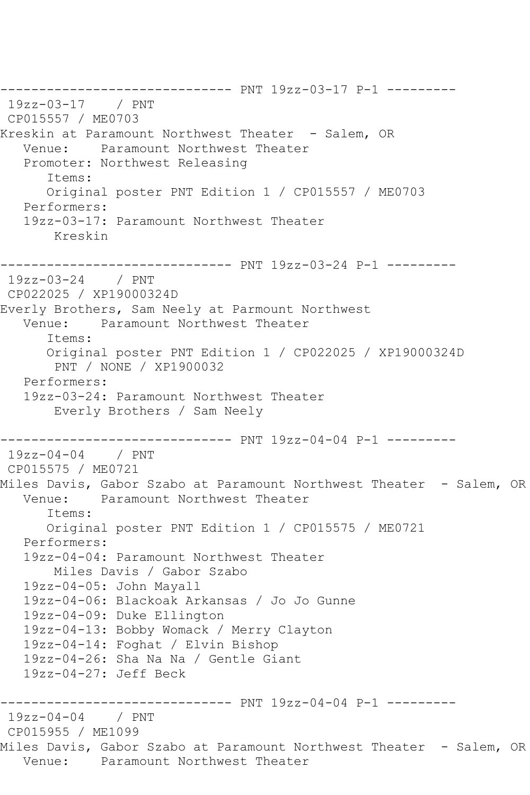------------------------------ PNT 19zz-03-17 P-1 --------- 19zz-03-17 / PNT CP015557 / ME0703 Kreskin at Paramount Northwest Theater - Salem, OR Venue: Paramount Northwest Theater Promoter: Northwest Releasing Items: Original poster PNT Edition 1 / CP015557 / ME0703 Performers: 19zz-03-17: Paramount Northwest Theater Kreskin ------------------------------ PNT 19zz-03-24 P-1 --------- 19zz-03-24 / PNT CP022025 / XP19000324D Everly Brothers, Sam Neely at Parmount Northwest Venue: Paramount Northwest Theater Items: Original poster PNT Edition 1 / CP022025 / XP19000324D PNT / NONE / XP1900032 Performers: 19zz-03-24: Paramount Northwest Theater Everly Brothers / Sam Neely ------------------------------ PNT 19zz-04-04 P-1 --------- 19zz-04-04 / PNT CP015575 / ME0721 Miles Davis, Gabor Szabo at Paramount Northwest Theater - Salem, OR Venue: Paramount Northwest Theater Items: Original poster PNT Edition 1 / CP015575 / ME0721 Performers: 19zz-04-04: Paramount Northwest Theater Miles Davis / Gabor Szabo 19zz-04-05: John Mayall 19zz-04-06: Blackoak Arkansas / Jo Jo Gunne 19zz-04-09: Duke Ellington 19zz-04-13: Bobby Womack / Merry Clayton 19zz-04-14: Foghat / Elvin Bishop 19zz-04-26: Sha Na Na / Gentle Giant 19zz-04-27: Jeff Beck ------------------------------ PNT 19zz-04-04 P-1 --------- 19zz-04-04 / PNT CP015955 / ME1099 Miles Davis, Gabor Szabo at Paramount Northwest Theater - Salem, OR Venue: Paramount Northwest Theater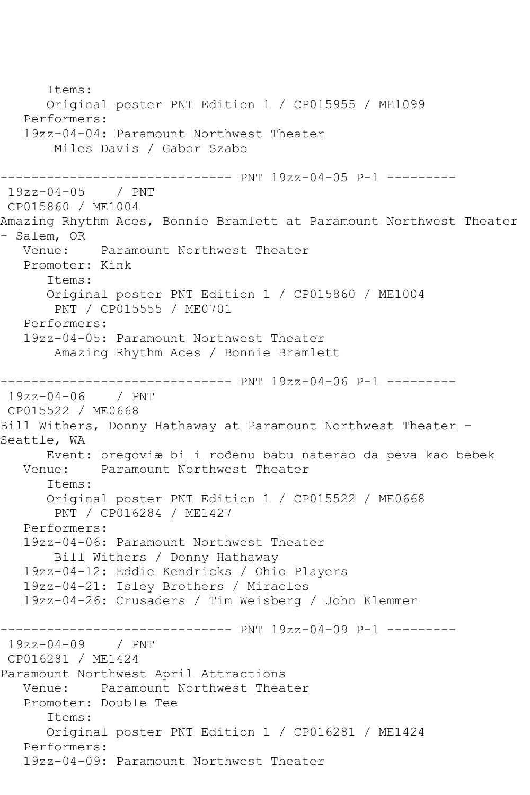Items: Original poster PNT Edition 1 / CP015955 / ME1099 Performers: 19zz-04-04: Paramount Northwest Theater Miles Davis / Gabor Szabo ------------------------------ PNT 19zz-04-05 P-1 --------- 19zz-04-05 / PNT CP015860 / ME1004 Amazing Rhythm Aces, Bonnie Bramlett at Paramount Northwest Theater - Salem, OR<br>Venue: Paramount Northwest Theater Promoter: Kink Items: Original poster PNT Edition 1 / CP015860 / ME1004 PNT / CP015555 / ME0701 Performers: 19zz-04-05: Paramount Northwest Theater Amazing Rhythm Aces / Bonnie Bramlett ------------------------------ PNT 19zz-04-06 P-1 --------- 19zz-04-06 / PNT CP015522 / ME0668 Bill Withers, Donny Hathaway at Paramount Northwest Theater - Seattle, WA Event: bregoviæ bi i roðenu babu naterao da peva kao bebek Paramount Northwest Theater Items: Original poster PNT Edition 1 / CP015522 / ME0668 PNT / CP016284 / ME1427 Performers: 19zz-04-06: Paramount Northwest Theater Bill Withers / Donny Hathaway 19zz-04-12: Eddie Kendricks / Ohio Players 19zz-04-21: Isley Brothers / Miracles 19zz-04-26: Crusaders / Tim Weisberg / John Klemmer ------------------------------ PNT 19zz-04-09 P-1 --------- 19zz-04-09 / PNT CP016281 / ME1424 Paramount Northwest April Attractions Venue: Paramount Northwest Theater Promoter: Double Tee Items: Original poster PNT Edition 1 / CP016281 / ME1424 Performers: 19zz-04-09: Paramount Northwest Theater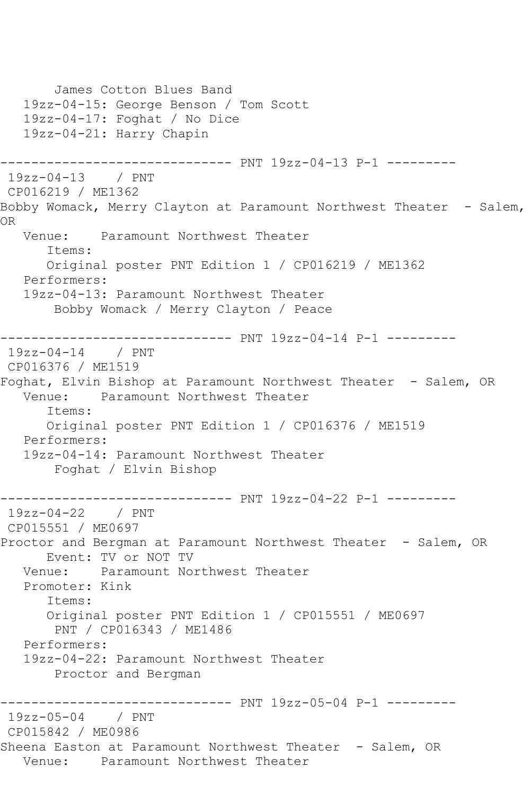```
 James Cotton Blues Band
    19zz-04-15: George Benson / Tom Scott
    19zz-04-17: Foghat / No Dice
    19zz-04-21: Harry Chapin
         ------------------------------ PNT 19zz-04-13 P-1 ---------
19zz-04-13 / PNT 
CP016219 / ME1362
Bobby Womack, Merry Clayton at Paramount Northwest Theater - Salem,
OR
   Venue: Paramount Northwest Theater
       Items:
       Original poster PNT Edition 1 / CP016219 / ME1362
   Performers:
   19zz-04-13: Paramount Northwest Theater
        Bobby Womack / Merry Clayton / Peace
------------------------------ PNT 19zz-04-14 P-1 ---------
19zz-04-14 / PNT 
CP016376 / ME1519
Foghat, Elvin Bishop at Paramount Northwest Theater - Salem, OR
   Venue: Paramount Northwest Theater
       Items:
       Original poster PNT Edition 1 / CP016376 / ME1519
    Performers:
    19zz-04-14: Paramount Northwest Theater
        Foghat / Elvin Bishop
                 ------------------------------ PNT 19zz-04-22 P-1 ---------
19zz-04-22 / PNT 
CP015551 / ME0697
Proctor and Bergman at Paramount Northwest Theater - Salem, OR
   Event: TV or NOT TV<br>Venue: Paramount No
            Paramount Northwest Theater
    Promoter: Kink
       Items:
       Original poster PNT Edition 1 / CP015551 / ME0697
        PNT / CP016343 / ME1486
   Performers:
    19zz-04-22: Paramount Northwest Theater
        Proctor and Bergman
                ------------------------------ PNT 19zz-05-04 P-1 ---------
19zz-05-04 / PNT 
CP015842 / ME0986
Sheena Easton at Paramount Northwest Theater - Salem, OR
   Venue: Paramount Northwest Theater
```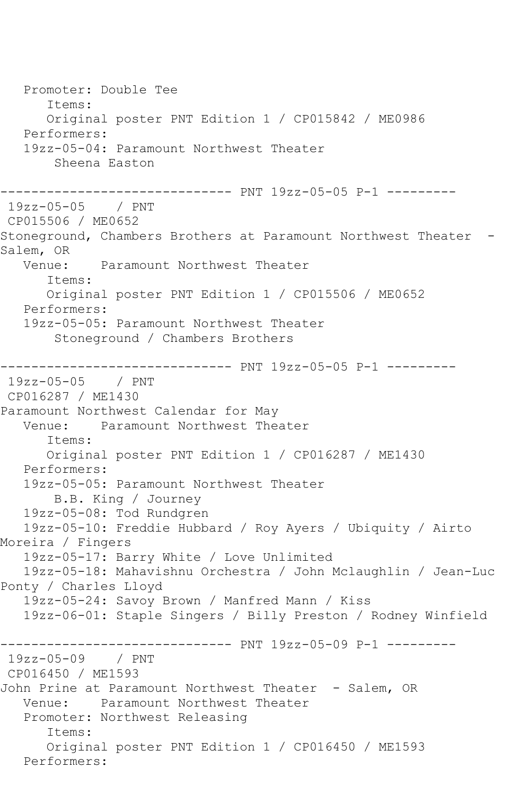Promoter: Double Tee Items: Original poster PNT Edition 1 / CP015842 / ME0986 Performers: 19zz-05-04: Paramount Northwest Theater Sheena Easton ------------------------------ PNT 19zz-05-05 P-1 --------- 19zz-05-05 / PNT CP015506 / ME0652 Stoneground, Chambers Brothers at Paramount Northwest Theater - Salem, OR<br>:Venue Paramount Northwest Theater Items: Original poster PNT Edition 1 / CP015506 / ME0652 Performers: 19zz-05-05: Paramount Northwest Theater Stoneground / Chambers Brothers ------------------------------ PNT 19zz-05-05 P-1 --------- 19zz-05-05 / PNT CP016287 / ME1430 Paramount Northwest Calendar for May Paramount Northwest Theater Items: Original poster PNT Edition 1 / CP016287 / ME1430 Performers: 19zz-05-05: Paramount Northwest Theater B.B. King / Journey 19zz-05-08: Tod Rundgren 19zz-05-10: Freddie Hubbard / Roy Ayers / Ubiquity / Airto Moreira / Fingers 19zz-05-17: Barry White / Love Unlimited 19zz-05-18: Mahavishnu Orchestra / John Mclaughlin / Jean-Luc Ponty / Charles Lloyd 19zz-05-24: Savoy Brown / Manfred Mann / Kiss 19zz-06-01: Staple Singers / Billy Preston / Rodney Winfield ------------------------------ PNT 19zz-05-09 P-1 --------- 19zz-05-09 / PNT CP016450 / ME1593 John Prine at Paramount Northwest Theater - Salem, OR Venue: Paramount Northwest Theater Promoter: Northwest Releasing Items: Original poster PNT Edition 1 / CP016450 / ME1593 Performers: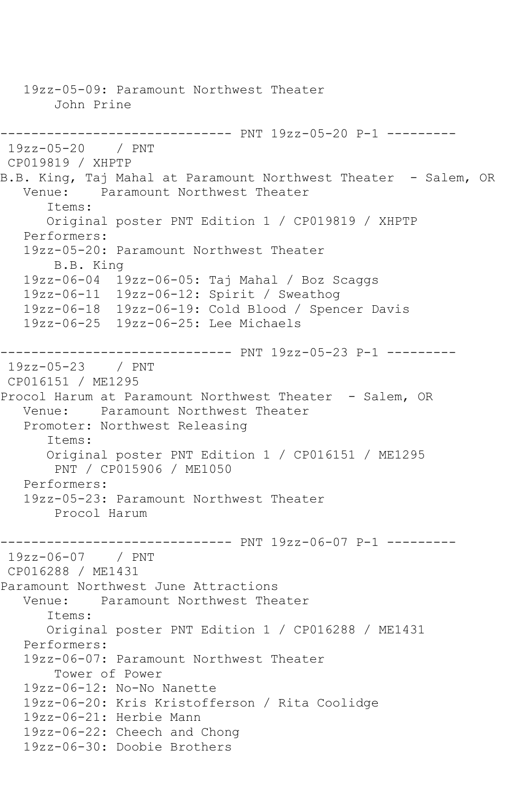19zz-05-09: Paramount Northwest Theater John Prine ------------------------------ PNT 19zz-05-20 P-1 --------- 19zz-05-20 / PNT CP019819 / XHPTP B.B. King, Taj Mahal at Paramount Northwest Theater - Salem, OR<br>Venue: Paramount Northwest Theater Paramount Northwest Theater Items: Original poster PNT Edition 1 / CP019819 / XHPTP Performers: 19zz-05-20: Paramount Northwest Theater B.B. King 19zz-06-04 19zz-06-05: Taj Mahal / Boz Scaggs 19zz-06-11 19zz-06-12: Spirit / Sweathog 19zz-06-18 19zz-06-19: Cold Blood / Spencer Davis 19zz-06-25 19zz-06-25: Lee Michaels ------------------------------ PNT 19zz-05-23 P-1 --------- 19zz-05-23 / PNT CP016151 / ME1295 Procol Harum at Paramount Northwest Theater - Salem, OR Venue: Paramount Northwest Theater Promoter: Northwest Releasing Items: Original poster PNT Edition 1 / CP016151 / ME1295 PNT / CP015906 / ME1050 Performers: 19zz-05-23: Paramount Northwest Theater Procol Harum ------------------------------ PNT 19zz-06-07 P-1 --------- 19zz-06-07 / PNT CP016288 / ME1431 Paramount Northwest June Attractions Venue: Paramount Northwest Theater Items: Original poster PNT Edition 1 / CP016288 / ME1431 Performers: 19zz-06-07: Paramount Northwest Theater Tower of Power 19zz-06-12: No-No Nanette 19zz-06-20: Kris Kristofferson / Rita Coolidge 19zz-06-21: Herbie Mann 19zz-06-22: Cheech and Chong 19zz-06-30: Doobie Brothers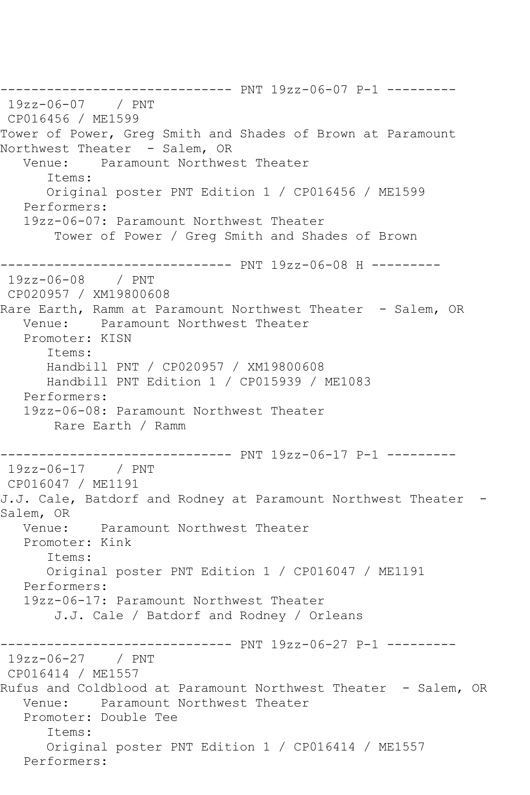```
------------------------------ PNT 19zz-06-07 P-1 ---------
19zz-06-07 / PNT 
CP016456 / ME1599
Tower of Power, Greg Smith and Shades of Brown at Paramount 
Northwest Theater - Salem, OR
   Venue: Paramount Northwest Theater
      Items:
      Original poster PNT Edition 1 / CP016456 / ME1599
   Performers:
   19zz-06-07: Paramount Northwest Theater
       Tower of Power / Greg Smith and Shades of Brown
------------------------------ PNT 19zz-06-08 H ---------
19zz-06-08 / PNT 
CP020957 / XM19800608
Rare Earth, Ramm at Paramount Northwest Theater - Salem, OR
   Venue: Paramount Northwest Theater
   Promoter: KISN
      Items:
      Handbill PNT / CP020957 / XM19800608
      Handbill PNT Edition 1 / CP015939 / ME1083
   Performers:
   19zz-06-08: Paramount Northwest Theater
       Rare Earth / Ramm
------------------------------ PNT 19zz-06-17 P-1 ---------
19zz-06-17 / PNT 
CP016047 / ME1191
J.J. Cale, Batdorf and Rodney at Paramount Northwest Theater -
Salem, OR
   Venue: Paramount Northwest Theater
   Promoter: Kink
      Items:
      Original poster PNT Edition 1 / CP016047 / ME1191
   Performers:
   19zz-06-17: Paramount Northwest Theater
       J.J. Cale / Batdorf and Rodney / Orleans
------------------------------ PNT 19zz-06-27 P-1 ---------
19zz-06-27 / PNT 
CP016414 / ME1557
Rufus and Coldblood at Paramount Northwest Theater - Salem, OR
   Venue: Paramount Northwest Theater
   Promoter: Double Tee
      Items:
      Original poster PNT Edition 1 / CP016414 / ME1557
   Performers:
```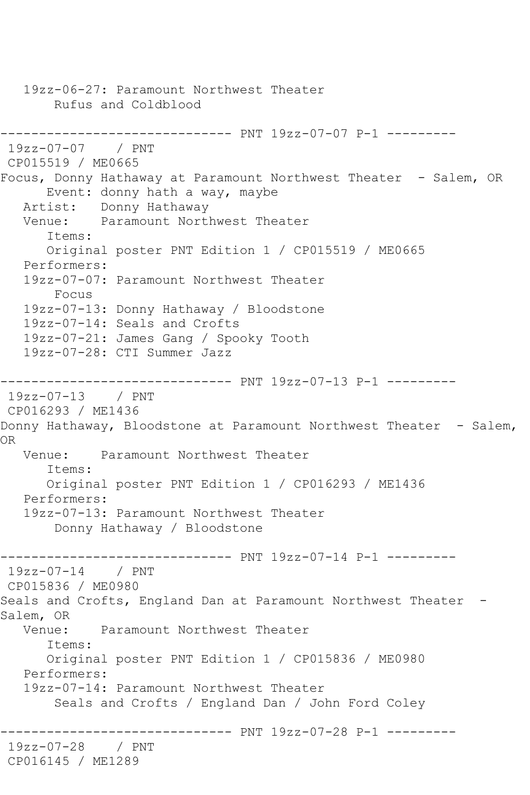19zz-06-27: Paramount Northwest Theater Rufus and Coldblood ------------------------------ PNT 19zz-07-07 P-1 --------- 19zz-07-07 / PNT CP015519 / ME0665 Focus, Donny Hathaway at Paramount Northwest Theater - Salem, OR Event: donny hath a way, maybe Artist: Donny Hathaway Venue: Paramount Northwest Theater Items: Original poster PNT Edition 1 / CP015519 / ME0665 Performers: 19zz-07-07: Paramount Northwest Theater Focus 19zz-07-13: Donny Hathaway / Bloodstone 19zz-07-14: Seals and Crofts 19zz-07-21: James Gang / Spooky Tooth 19zz-07-28: CTI Summer Jazz ------------------------------ PNT 19zz-07-13 P-1 --------- 19zz-07-13 / PNT CP016293 / ME1436 Donny Hathaway, Bloodstone at Paramount Northwest Theater - Salem, OR Venue: Paramount Northwest Theater Items: Original poster PNT Edition 1 / CP016293 / ME1436 Performers: 19zz-07-13: Paramount Northwest Theater Donny Hathaway / Bloodstone ------------------------------ PNT 19zz-07-14 P-1 --------- 19zz-07-14 / PNT CP015836 / ME0980 Seals and Crofts, England Dan at Paramount Northwest Theater -Salem, OR Venue: Paramount Northwest Theater Items: Original poster PNT Edition 1 / CP015836 / ME0980 Performers: 19zz-07-14: Paramount Northwest Theater Seals and Crofts / England Dan / John Ford Coley ------------------------------ PNT 19zz-07-28 P-1 --------- 19zz-07-28 / PNT CP016145 / ME1289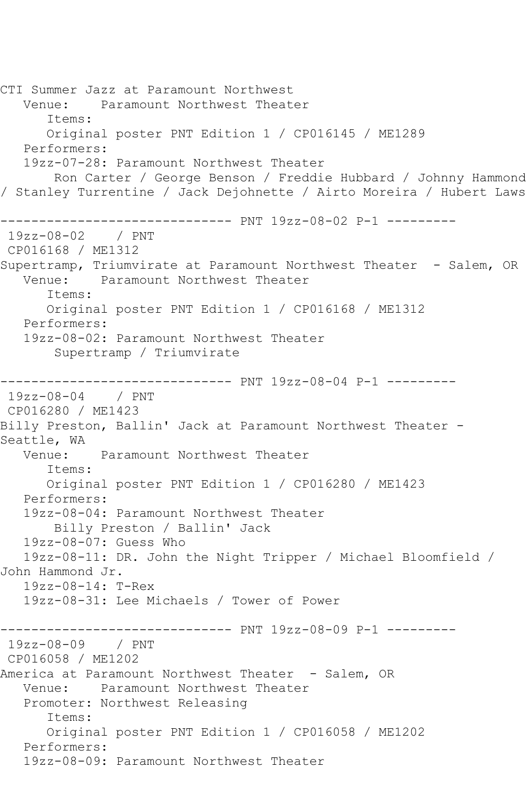CTI Summer Jazz at Paramount Northwest Venue: Paramount Northwest Theater Items: Original poster PNT Edition 1 / CP016145 / ME1289 Performers: 19zz-07-28: Paramount Northwest Theater Ron Carter / George Benson / Freddie Hubbard / Johnny Hammond / Stanley Turrentine / Jack Dejohnette / Airto Moreira / Hubert Laws ------------------------------ PNT 19zz-08-02 P-1 --------- 19zz-08-02 / PNT CP016168 / ME1312 Supertramp, Triumvirate at Paramount Northwest Theater - Salem, OR<br>Venue: Paramount Northwest Theater Paramount Northwest Theater Items: Original poster PNT Edition 1 / CP016168 / ME1312 Performers: 19zz-08-02: Paramount Northwest Theater Supertramp / Triumvirate ------------------------------ PNT 19zz-08-04 P-1 --------- 19zz-08-04 / PNT CP016280 / ME1423 Billy Preston, Ballin' Jack at Paramount Northwest Theater - Seattle, WA<br>Venue: Paramount Northwest Theater Items: Original poster PNT Edition 1 / CP016280 / ME1423 Performers: 19zz-08-04: Paramount Northwest Theater Billy Preston / Ballin' Jack 19zz-08-07: Guess Who 19zz-08-11: DR. John the Night Tripper / Michael Bloomfield / John Hammond Jr. 19zz-08-14: T-Rex 19zz-08-31: Lee Michaels / Tower of Power ------------------------------ PNT 19zz-08-09 P-1 --------- 19zz-08-09 / PNT CP016058 / ME1202 America at Paramount Northwest Theater - Salem, OR Venue: Paramount Northwest Theater Promoter: Northwest Releasing Items: Original poster PNT Edition 1 / CP016058 / ME1202 Performers: 19zz-08-09: Paramount Northwest Theater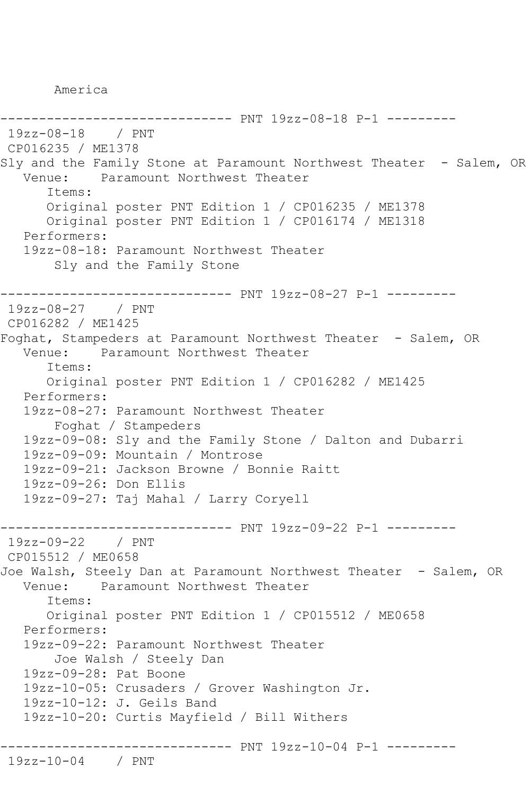America

------------------------------ PNT 19zz-08-18 P-1 --------- 19zz-08-18 / PNT CP016235 / ME1378 Sly and the Family Stone at Paramount Northwest Theater - Salem, OR Venue: Paramount Northwest Theater Items: Original poster PNT Edition 1 / CP016235 / ME1378 Original poster PNT Edition 1 / CP016174 / ME1318 Performers: 19zz-08-18: Paramount Northwest Theater Sly and the Family Stone ------------------------------ PNT 19zz-08-27 P-1 --------- 19zz-08-27 / PNT CP016282 / ME1425 Foghat, Stampeders at Paramount Northwest Theater - Salem, OR Venue: Paramount Northwest Theater Items: Original poster PNT Edition 1 / CP016282 / ME1425 Performers: 19zz-08-27: Paramount Northwest Theater Foghat / Stampeders 19zz-09-08: Sly and the Family Stone / Dalton and Dubarri 19zz-09-09: Mountain / Montrose 19zz-09-21: Jackson Browne / Bonnie Raitt 19zz-09-26: Don Ellis 19zz-09-27: Taj Mahal / Larry Coryell ------------------------------ PNT 19zz-09-22 P-1 --------- 19zz-09-22 / PNT CP015512 / ME0658 Joe Walsh, Steely Dan at Paramount Northwest Theater - Salem, OR Venue: Paramount Northwest Theater Items: Original poster PNT Edition 1 / CP015512 / ME0658 Performers: 19zz-09-22: Paramount Northwest Theater Joe Walsh / Steely Dan 19zz-09-28: Pat Boone 19zz-10-05: Crusaders / Grover Washington Jr. 19zz-10-12: J. Geils Band 19zz-10-20: Curtis Mayfield / Bill Withers ------------------------------ PNT 19zz-10-04 P-1 --------- 19zz-10-04 / PNT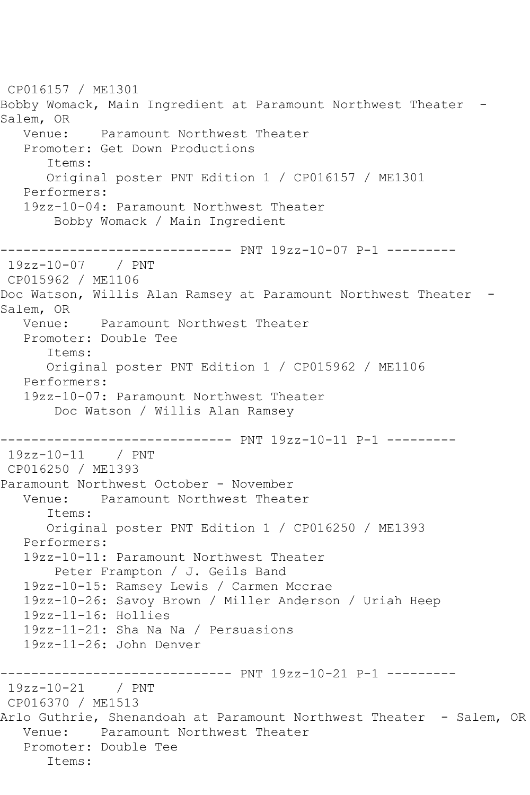CP016157 / ME1301 Bobby Womack, Main Ingredient at Paramount Northwest Theater -Salem, OR Venue: Paramount Northwest Theater Promoter: Get Down Productions Items: Original poster PNT Edition 1 / CP016157 / ME1301 Performers: 19zz-10-04: Paramount Northwest Theater Bobby Womack / Main Ingredient ------------------------------ PNT 19zz-10-07 P-1 --------- 19zz-10-07 / PNT CP015962 / ME1106 Doc Watson, Willis Alan Ramsey at Paramount Northwest Theater -Salem, OR Venue: Paramount Northwest Theater Promoter: Double Tee Items: Original poster PNT Edition 1 / CP015962 / ME1106 Performers: 19zz-10-07: Paramount Northwest Theater Doc Watson / Willis Alan Ramsey ------------------------------ PNT 19zz-10-11 P-1 --------- 19zz-10-11 / PNT CP016250 / ME1393 Paramount Northwest October - November Venue: Paramount Northwest Theater Items: Original poster PNT Edition 1 / CP016250 / ME1393 Performers: 19zz-10-11: Paramount Northwest Theater Peter Frampton / J. Geils Band 19zz-10-15: Ramsey Lewis / Carmen Mccrae 19zz-10-26: Savoy Brown / Miller Anderson / Uriah Heep 19zz-11-16: Hollies 19zz-11-21: Sha Na Na / Persuasions 19zz-11-26: John Denver ------------------------------ PNT 19zz-10-21 P-1 --------- 19zz-10-21 / PNT CP016370 / ME1513 Arlo Guthrie, Shenandoah at Paramount Northwest Theater - Salem, OR Venue: Paramount Northwest Theater Promoter: Double Tee Items: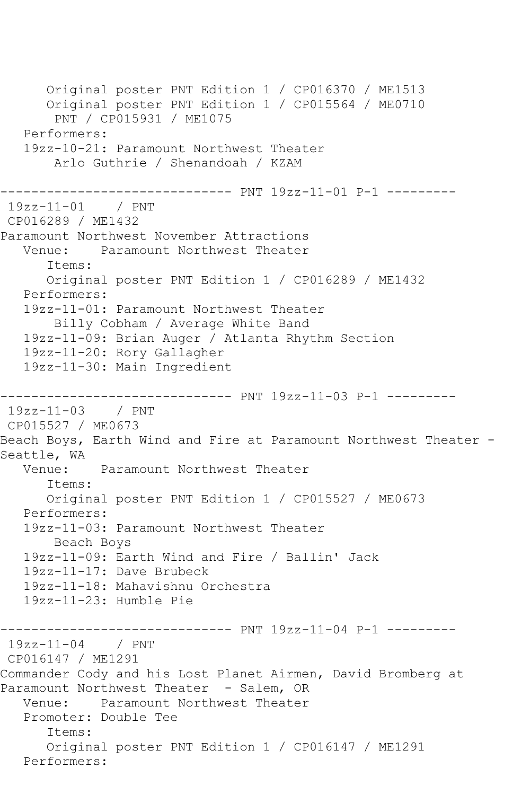Original poster PNT Edition 1 / CP016370 / ME1513 Original poster PNT Edition 1 / CP015564 / ME0710 PNT / CP015931 / ME1075 Performers: 19zz-10-21: Paramount Northwest Theater Arlo Guthrie / Shenandoah / KZAM ------------------------------ PNT 19zz-11-01 P-1 --------- 19zz-11-01 / PNT CP016289 / ME1432 Paramount Northwest November Attractions Venue: Paramount Northwest Theater Items: Original poster PNT Edition 1 / CP016289 / ME1432 Performers: 19zz-11-01: Paramount Northwest Theater Billy Cobham / Average White Band 19zz-11-09: Brian Auger / Atlanta Rhythm Section 19zz-11-20: Rory Gallagher 19zz-11-30: Main Ingredient ------------------------------ PNT 19zz-11-03 P-1 --------- 19zz-11-03 / PNT CP015527 / ME0673 Beach Boys, Earth Wind and Fire at Paramount Northwest Theater -Seattle, WA<br>Venue: Paramount Northwest Theater Items: Original poster PNT Edition 1 / CP015527 / ME0673 Performers: 19zz-11-03: Paramount Northwest Theater Beach Boys 19zz-11-09: Earth Wind and Fire / Ballin' Jack 19zz-11-17: Dave Brubeck 19zz-11-18: Mahavishnu Orchestra 19zz-11-23: Humble Pie ------------------------------ PNT 19zz-11-04 P-1 --------- 19zz-11-04 / PNT CP016147 / ME1291 Commander Cody and his Lost Planet Airmen, David Bromberg at Paramount Northwest Theater - Salem, OR Venue: Paramount Northwest Theater Promoter: Double Tee Items: Original poster PNT Edition 1 / CP016147 / ME1291 Performers: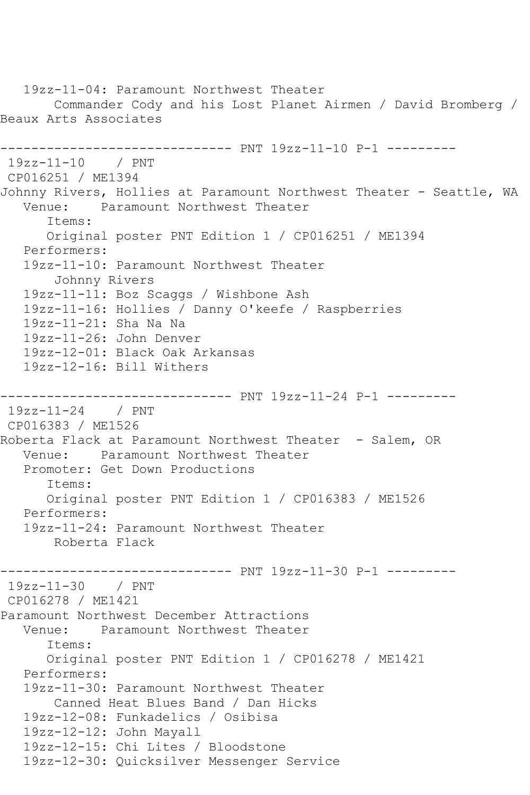19zz-11-04: Paramount Northwest Theater Commander Cody and his Lost Planet Airmen / David Bromberg / Beaux Arts Associates ------------------------------ PNT 19zz-11-10 P-1 --------- 19zz-11-10 / PNT CP016251 / ME1394 Johnny Rivers, Hollies at Paramount Northwest Theater - Seattle, WA Venue: Paramount Northwest Theater Items: Original poster PNT Edition 1 / CP016251 / ME1394 Performers: 19zz-11-10: Paramount Northwest Theater Johnny Rivers 19zz-11-11: Boz Scaggs / Wishbone Ash 19zz-11-16: Hollies / Danny O'keefe / Raspberries 19zz-11-21: Sha Na Na 19zz-11-26: John Denver 19zz-12-01: Black Oak Arkansas 19zz-12-16: Bill Withers ------------------------------ PNT 19zz-11-24 P-1 --------- 19zz-11-24 / PNT CP016383 / ME1526 Roberta Flack at Paramount Northwest Theater - Salem, OR Venue: Paramount Northwest Theater Promoter: Get Down Productions Items: Original poster PNT Edition 1 / CP016383 / ME1526 Performers: 19zz-11-24: Paramount Northwest Theater Roberta Flack ------------------------------ PNT 19zz-11-30 P-1 --------- 19zz-11-30 / PNT CP016278 / ME1421 Paramount Northwest December Attractions Venue: Paramount Northwest Theater Items: Original poster PNT Edition 1 / CP016278 / ME1421 Performers: 19zz-11-30: Paramount Northwest Theater Canned Heat Blues Band / Dan Hicks 19zz-12-08: Funkadelics / Osibisa 19zz-12-12: John Mayall 19zz-12-15: Chi Lites / Bloodstone 19zz-12-30: Quicksilver Messenger Service